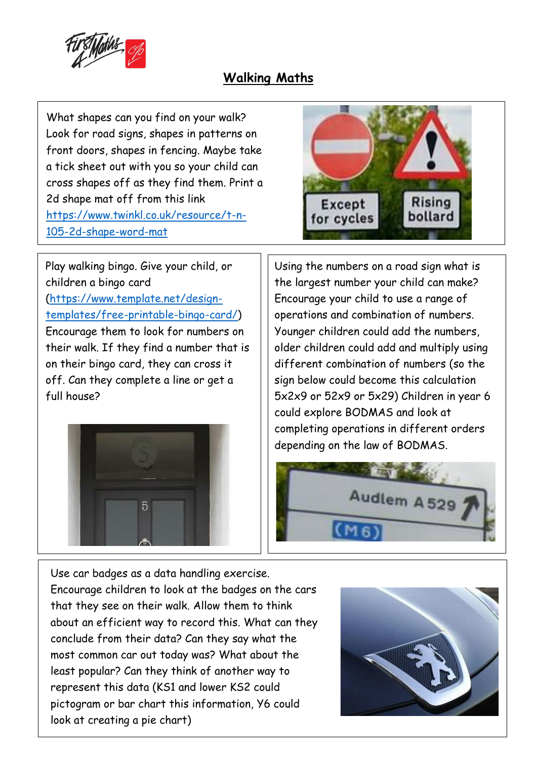

## **Walking Maths**

What shapes can you find on your walk? Look for road signs, shapes in patterns on front doors, shapes in fencing. Maybe take a tick sheet out with you so your child can cross shapes off as they find them. Print a 2d shape mat off from this link [https://www.twinkl.co.uk/resource/t-n-](https://www.twinkl.co.uk/resource/t-n-105-2d-shape-word-mat)[105-2d-shape-word-mat](https://www.twinkl.co.uk/resource/t-n-105-2d-shape-word-mat)







Using the numbers on a road sign what is the largest number your child can make? Encourage your child to use a range of operations and combination of numbers. Younger children could add the numbers, older children could add and multiply using different combination of numbers (so the sign below could become this calculation 5x2x9 or 52x9 or 5x29) Children in year 6 could explore BODMAS and look at completing operations in different orders depending on the law of BODMAS.



Use car badges as a data handling exercise. Encourage children to look at the badges on the cars that they see on their walk. Allow them to think about an efficient way to record this. What can they conclude from their data? Can they say what the most common car out today was? What about the least popular? Can they think of another way to represent this data (KS1 and lower KS2 could pictogram or bar chart this information, Y6 could look at creating a pie chart)